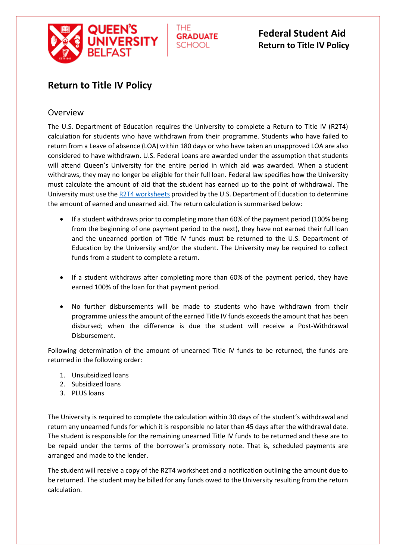

THE **GRADUATE SCHOOL** 

# **Federal Student Aid Return to Title IV Policy**

# **Return to Title IV Policy**

### Overview

The U.S. Department of Education requires the University to complete a Return to Title IV (R2T4) calculation for students who have withdrawn from their programme. Students who have failed to return from a Leave of absence (LOA) within 180 days or who have taken an unapproved LOA are also considered to have withdrawn. U.S. Federal Loans are awarded under the assumption that students will attend Queen's University for the entire period in which aid was awarded. When a student withdraws, they may no longer be eligible for their full loan. Federal law specifies how the University must calculate the amount of aid that the student has earned up to the point of withdrawal. The University must use th[e R2T4 worksheets](https://ifap.ed.gov/aidworksheets/attachments/CreditHourWorksheets2017.pdf) provided by the U.S. Department of Education to determine the amount of earned and unearned aid. The return calculation is summarised below:

- If a student withdraws prior to completing more than 60% of the payment period (100% being from the beginning of one payment period to the next), they have not earned their full loan and the unearned portion of Title IV funds must be returned to the U.S. Department of Education by the University and/or the student. The University may be required to collect funds from a student to complete a return.
- If a student withdraws after completing more than 60% of the payment period, they have earned 100% of the loan for that payment period.
- No further disbursements will be made to students who have withdrawn from their programme unless the amount of the earned Title IV funds exceeds the amount that has been disbursed; when the difference is due the student will receive a Post-Withdrawal Disbursement.

Following determination of the amount of unearned Title IV funds to be returned, the funds are returned in the following order:

- 1. Unsubsidized loans
- 2. Subsidized loans
- 3. PLUS loans

The University is required to complete the calculation within 30 days of the student's withdrawal and return any unearned funds for which it is responsible no later than 45 days after the withdrawal date. The student is responsible for the remaining unearned Title IV funds to be returned and these are to be repaid under the terms of the borrower's promissory note. That is, scheduled payments are arranged and made to the lender.

The student will receive a copy of the R2T4 worksheet and a notification outlining the amount due to be returned. The student may be billed for any funds owed to the University resulting from the return calculation.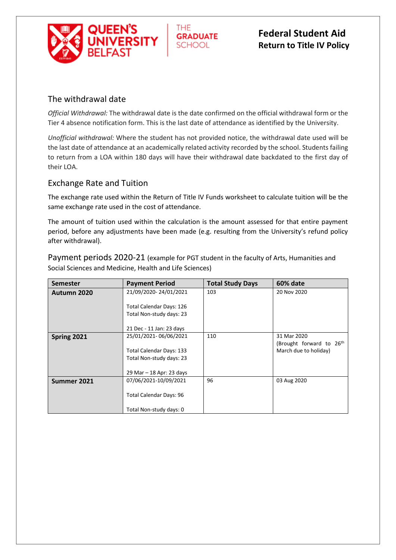

#### THF. **GRADUATE SCHOOL**

# **Federal Student Aid Return to Title IV Policy**

# The withdrawal date

*Official Withdrawal:* The withdrawal date is the date confirmed on the official withdrawal form or the Tier 4 absence notification form. This is the last date of attendance as identified by the University.

*Unofficial withdrawal:* Where the student has not provided notice, the withdrawal date used will be the last date of attendance at an academically related activity recorded by the school. Students failing to return from a LOA within 180 days will have their withdrawal date backdated to the first day of their LOA.

#### Exchange Rate and Tuition

The exchange rate used within the Return of Title IV Funds worksheet to calculate tuition will be the same exchange rate used in the cost of attendance.

The amount of tuition used within the calculation is the amount assessed for that entire payment period, before any adjustments have been made (e.g. resulting from the University's refund policy after withdrawal).

Payment periods 2020-21 (example for PGT student in the faculty of Arts, Humanities and Social Sciences and Medicine, Health and Life Sciences)

| <b>Semester</b> | <b>Payment Period</b>          | <b>Total Study Days</b> | 60% date                             |
|-----------------|--------------------------------|-------------------------|--------------------------------------|
| Autumn 2020     | 21/09/2020-24/01/2021          | 103                     | 20 Nov 2020                          |
|                 |                                |                         |                                      |
|                 | Total Calendar Days: 126       |                         |                                      |
|                 | Total Non-study days: 23       |                         |                                      |
|                 |                                |                         |                                      |
|                 | 21 Dec - 11 Jan: 23 days       |                         |                                      |
| Spring 2021     | 25/01/2021-06/06/2021          | 110                     | 31 Mar 2020                          |
|                 |                                |                         | (Brought forward to 26 <sup>th</sup> |
|                 | Total Calendar Days: 133       |                         | March due to holiday)                |
|                 | Total Non-study days: 23       |                         |                                      |
|                 |                                |                         |                                      |
|                 | 29 Mar - 18 Apr: 23 days       |                         |                                      |
| Summer 2021     | 07/06/2021-10/09/2021          | 96                      | 03 Aug 2020                          |
|                 |                                |                         |                                      |
|                 | <b>Total Calendar Days: 96</b> |                         |                                      |
|                 |                                |                         |                                      |
|                 | Total Non-study days: 0        |                         |                                      |